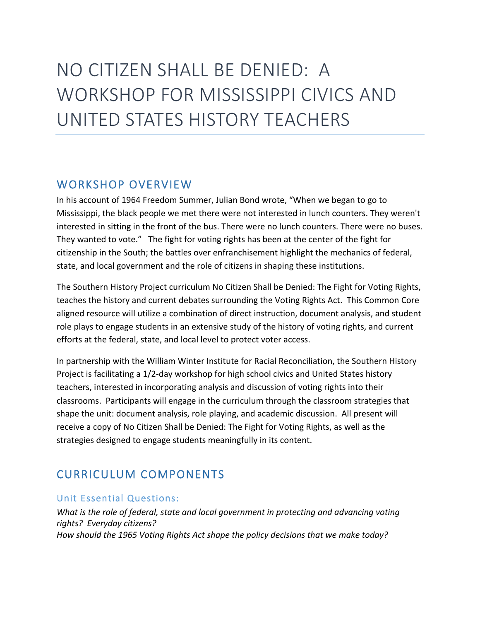# NO CITIZEN SHALL BE DENIED: A WORKSHOP FOR MISSISSIPPI CIVICS AND UNITED STATES HISTORY TEACHERS

### WORKSHOP OVERVIEW

In his account of 1964 Freedom Summer, Julian Bond wrote, "When we began to go to Mississippi, the black people we met there were not interested in lunch counters. They weren't interested in sitting in the front of the bus. There were no lunch counters. There were no buses. They wanted to vote." The fight for voting rights has been at the center of the fight for citizenship in the South; the battles over enfranchisement highlight the mechanics of federal, state, and local government and the role of citizens in shaping these institutions.

The Southern History Project curriculum No Citizen Shall be Denied: The Fight for Voting Rights, teaches the history and current debates surrounding the Voting Rights Act. This Common Core aligned resource will utilize a combination of direct instruction, document analysis, and student role plays to engage students in an extensive study of the history of voting rights, and current efforts at the federal, state, and local level to protect voter access.

In partnership with the William Winter Institute for Racial Reconciliation, the Southern History Project is facilitating a 1/2-day workshop for high school civics and United States history teachers, interested in incorporating analysis and discussion of voting rights into their classrooms. Participants will engage in the curriculum through the classroom strategies that shape the unit: document analysis, role playing, and academic discussion. All present will receive a copy of No Citizen Shall be Denied: The Fight for Voting Rights, as well as the strategies designed to engage students meaningfully in its content.

## CURRICULUM COMPONENTS

#### Unit Essential Questions:

*What is the role of federal, state and local government in protecting and advancing voting rights? Everyday citizens? How should the 1965 Voting Rights Act shape the policy decisions that we make today?*